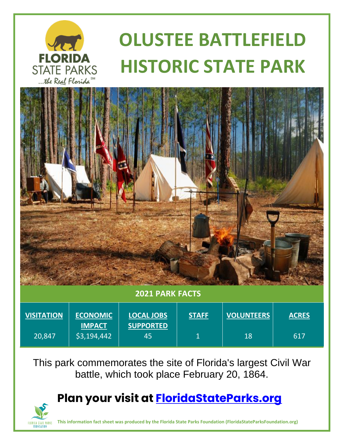

# **OLUSTEE BATTLEFIELD HISTORIC STATE PARK**



#### **2021 PARK FACTS**

| <b>VISITATION</b> | <b>ECONOMIC</b>              | <b>LOCAL JOBS</b>      | <b>STAFF</b> | <b>VOLUNTEERS</b> | <b>ACRES</b> |
|-------------------|------------------------------|------------------------|--------------|-------------------|--------------|
| 20,847            | <b>IMPACT</b><br>\$3,194,442 | <b>SUPPORTED</b><br>45 |              | 18                | 617          |

This park commemorates the site of Florida's largest Civil War battle, which took place February 20, 1864.

## **Plan your visit at [FloridaStateParks.org](http://www.floridastateparks.org/)**



**This information fact sheet was produced by the Florida State Parks Foundation (FloridaStateParksFoundation.org)**